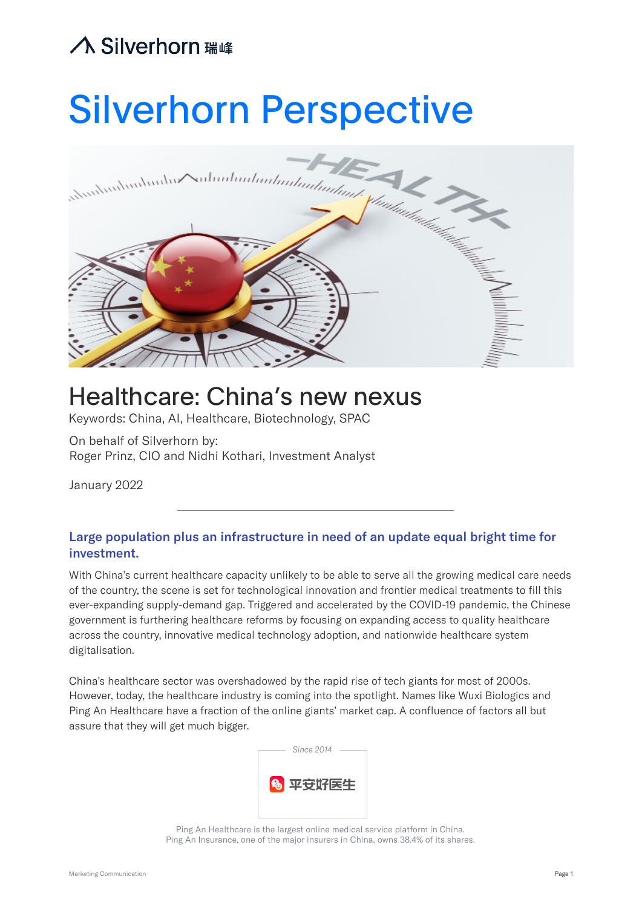

# Healthcare: China's new nexus

Keywords: China, AI, Healthcare, Biotechnology, SPAC

On behalf of Silverhorn by: Roger Prinz, CIO and Nidhi Kothari, Investment Analyst

January 2022

#### Large population plus an infrastructure in need of an update equal bright time for investment.

With China's current healthcare capacity unlikely to be able to serve all the growing medical care needs of the country, the scene is set for technological innovation and frontier medical treatments to fill this ever-expanding supply-demand gap. Triggered and accelerated by the COVID-19 pandemic, the Chinese government is furthering healthcare reforms by focusing on expanding access to quality healthcare across the country, innovative medical technology adoption, and nationwide healthcare system digitalisation.

China's healthcare sector was overshadowed by the rapid rise of tech giants for most of 2000s. However, today, the healthcare industry is coming into the spotlight. Names like Wuxi Biologics and Ping An Healthcare have a fraction of the online giants' market cap. A confluence of factors all but assure that they will get much bigger.



Ping An Healthcare is the largest online medical service platform in China. Ping An Insurance, one of the major insurers in China, owns 38.4% of its shares.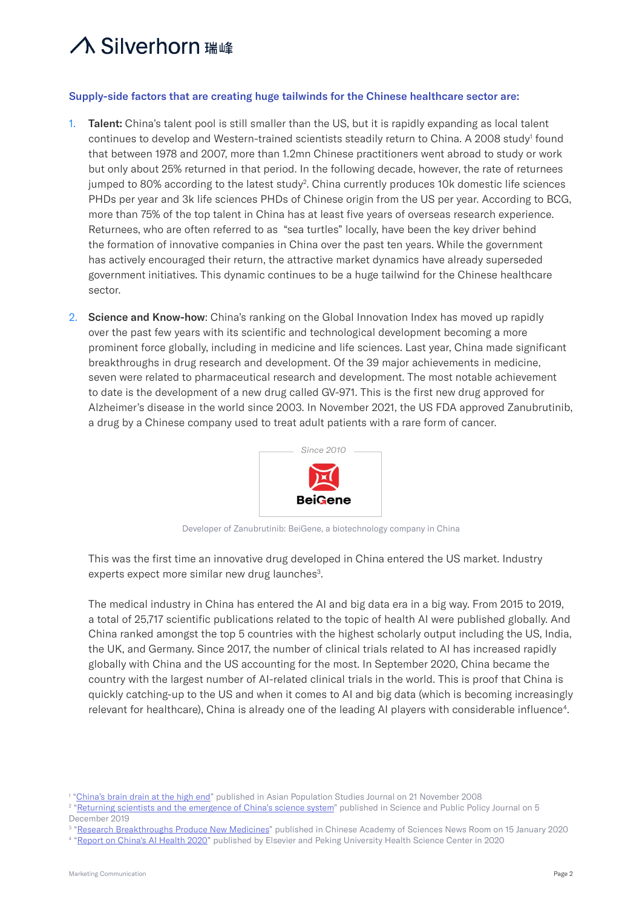#### Supply-side factors that are creating huge tailwinds for the Chinese healthcare sector are:

- 1. Talent: China's talent pool is still smaller than the US, but it is rapidly expanding as local talent continues to develop and Western-trained scientists steadily return to China. A 2008 study<sup>1</sup> found that between 1978 and 2007, more than 1.2mn Chinese practitioners went abroad to study or work but only about 25% returned in that period. In the following decade, however, the rate of returnees jumped to 80% according to the latest study<sup>2</sup>. China currently produces 10k domestic life sciences PHDs per year and 3k life sciences PHDs of Chinese origin from the US per year. According to BCG, more than 75% of the top talent in China has at least five years of overseas research experience. Returnees, who are often referred to as "sea turtles" locally, have been the key driver behind the formation of innovative companies in China over the past ten years. While the government has actively encouraged their return, the attractive market dynamics have already superseded government initiatives. This dynamic continues to be a huge tailwind for the Chinese healthcare sector.
- 2. Science and Know-how: China's ranking on the Global Innovation Index has moved up rapidly over the past few years with its scientific and technological development becoming a more prominent force globally, including in medicine and life sciences. Last year, China made significant breakthroughs in drug research and development. Of the 39 major achievements in medicine, seven were related to pharmaceutical research and development. The most notable achievement to date is the development of a new drug called GV-971. This is the first new drug approved for Alzheimer's disease in the world since 2003. In November 2021, the US FDA approved Zanubrutinib, a drug by a Chinese company used to treat adult patients with a rare form of cancer.



Developer of Zanubrutinib: BeiGene, a biotechnology company in China

This was the first time an innovative drug developed in China entered the US market. Industry experts expect more similar new drug launches<sup>3</sup>.

The medical industry in China has entered the AI and big data era in a big way. From 2015 to 2019, a total of 25,717 scientific publications related to the topic of health AI were published globally. And China ranked amongst the top 5 countries with the highest scholarly output including the US, India, the UK, and Germany. Since 2017, the number of clinical trials related to AI has increased rapidly globally with China and the US accounting for the most. In September 2020, China became the country with the largest number of AI-related clinical trials in the world. This is proof that China is quickly catching-up to the US and when it comes to AI and big data (which is becoming increasingly relevant for healthcare), China is already one of the leading AI players with considerable influence $^4\!$ 

<sup>&</sup>lt;sup>1</sup> "<u>[China's brain drain at the high end](https://www.tandfonline.com/doi/abs/10.1080/17441730802496532)</u>" published in Asian Population Studies Journal on 21 November 2008

<sup>&</sup>lt;sup>2</sup> ["Returning scientists and the emergence of China's science system"](https://watermark.silverchair.com/scz056.pdf?token=AQECAHi208BE49Ooan9kkhW_Ercy7Dm3ZL_9Cf3qfKAc485ysgAAAsEwggK9BgkqhkiG9w0BBwagggKuMIICqgIBADCCAqMGCSqGSIb3DQEHATAeBglghkgBZQMEAS4wEQQMIqbmAZJPjA7QCK-wAgEQgIICdEh2cL-LCiWdHpk6PpBXQwwngheCbrIaRGadRxO06Tw_73WXHE1SDGnr7mkkmcDHPAgVLpgsL8vdT-8ZTdDNZMYaFzLKSzF4B4PTK3kyIlLdAcMsJiKN91Rz73awpHBSStL9t2zBuB_xYLJWmnyxcut4WAI3StcVdZvH6UnrwOYiiutEobJ5jQ6BtWW2F23iX3JyXsOok4JbcVaZ6I3G4jrn28fDHcHXCtmh5VjyQDWtwMnjWZ4JgeCH1kIsHTvLLa6C4PcQg_NYx_-5itkHY4ezfnofHgSdORahaFiyRYhQthNc9bW27GD83LapYPxAJ8WQebvv3Cp4OVoUF6EYuwjBkjhb6QBhRxptY9BIn9yUIvrtAkDXOVIJmxxqJOj8WUtAa1uKHFaU6T1C27-EBG7up3CXGPm0I09j6y8rcnJpWU7rukkZiRL3-abpDP1rz7kSp0BB3Vdqd_jHFBGtZSQE-s5Im2Bnz6RsTPK7-WqgsDh36XHwDKA1W6lIQXMz94dV2aZSxuw0zD1XCQrApDS4h1pgJOtBVxLl_9gPmXHbRtO42r251YofDNPGw3NbNus7t3WP5npI0eIcJUbhZimtH7ksx1taIM2zVEwK7tF4y8-E34W-Yl1uRaUWhaXjEDtR9SDMI2n-I-slG8zVuerVvKnrGLzLla3FZvC-UrZu08NVvCe8FWufoB_U9jVIWsYSuca1rlKLX3AvPdyuXsYiYndDzHucwikwJXm2CcIXkG1eAQvDEgVhQVsFke2ZbpDMyn8gBxbGxrSAqnfTITWDe8KN1sI8YRTCiyp_ZI_00AHTMmCS7EFO0LbTh6cVMHJQryA) published in Science and Public Policy Journal on 5 December 2019

<sup>&</sup>lt;sup>3</sup> "<u>Research Breakthroughs Produce New Medicines</u>" published in Chinese Academy of Sciences News Room on 15 January 2020

<sup>&</sup>lt;sup>4</sup> "[Report on China's AI Health 2020"](https://www.elsevier.com/__data/assets/pdf_file/0020/1116560/Health_AI_Index_2020.pdf) published by Elsevier and Peking University Health Science Center in 2020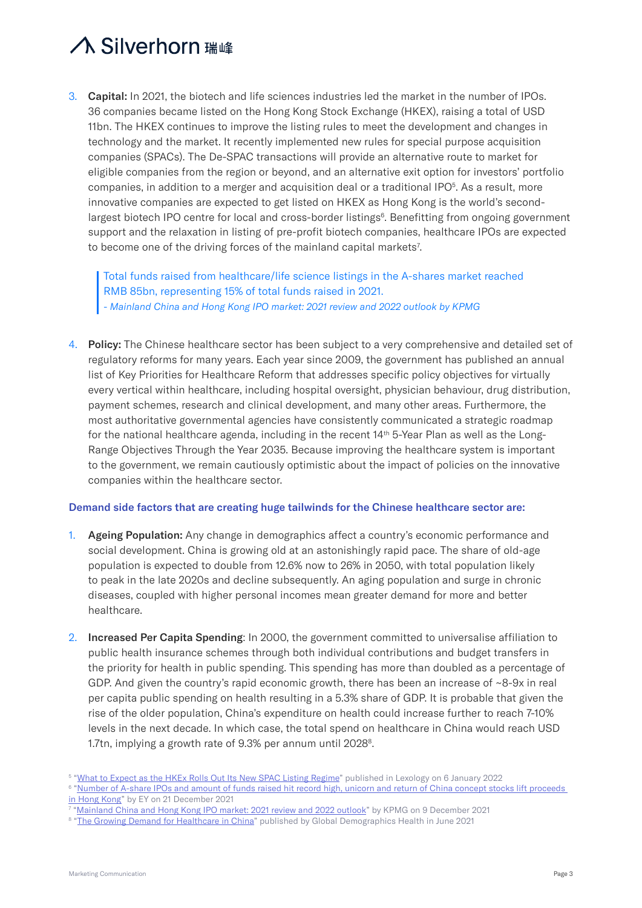3. Capital: In 2021, the biotech and life sciences industries led the market in the number of IPOs. 36 companies became listed on the Hong Kong Stock Exchange (HKEX), raising a total of USD 11bn. The HKEX continues to improve the listing rules to meet the development and changes in technology and the market. It recently implemented new rules for special purpose acquisition companies (SPACs). The De-SPAC transactions will provide an alternative route to market for eligible companies from the region or beyond, and an alternative exit option for investors' portfolio companies, in addition to a merger and acquisition deal or a traditional IPO $<sup>5</sup>$ . As a result, more</sup> innovative companies are expected to get listed on HKEX as Hong Kong is the world's secondlargest biotech IPO centre for local and cross-border listings<sup>6</sup>. Benefitting from ongoing government support and the relaxation in listing of pre-profit biotech companies, healthcare IPOs are expected to become one of the driving forces of the mainland capital markets<sup>7</sup>.

Total funds raised from healthcare/life science listings in the A-shares market reached RMB 85bn, representing 15% of total funds raised in 2021. *- Mainland China and Hong Kong IPO market: 2021 review and 2022 outlook by KPMG*

4. Policy: The Chinese healthcare sector has been subject to a very comprehensive and detailed set of regulatory reforms for many years. Each year since 2009, the government has published an annual list of Key Priorities for Healthcare Reform that addresses specific policy objectives for virtually every vertical within healthcare, including hospital oversight, physician behaviour, drug distribution, payment schemes, research and clinical development, and many other areas. Furthermore, the most authoritative governmental agencies have consistently communicated a strategic roadmap for the national healthcare agenda, including in the recent  $14<sup>th</sup> 5$ -Year Plan as well as the Long-Range Objectives Through the Year 2035. Because improving the healthcare system is important to the government, we remain cautiously optimistic about the impact of policies on the innovative companies within the healthcare sector.

#### Demand side factors that are creating huge tailwinds for the Chinese healthcare sector are:

- 1. Ageing Population: Any change in demographics affect a country's economic performance and social development. China is growing old at an astonishingly rapid pace. The share of old-age population is expected to double from 12.6% now to 26% in 2050, with total population likely to peak in the late 2020s and decline subsequently. An aging population and surge in chronic diseases, coupled with higher personal incomes mean greater demand for more and better healthcare.
- 2. Increased Per Capita Spending: In 2000, the government committed to universalise affiliation to public health insurance schemes through both individual contributions and budget transfers in the priority for health in public spending. This spending has more than doubled as a percentage of GDP. And given the country's rapid economic growth, there has been an increase of  $\sim$ 8-9x in real per capita public spending on health resulting in a 5.3% share of GDP. It is probable that given the rise of the older population, China's expenditure on health could increase further to reach 7-10% levels in the next decade. In which case, the total spend on healthcare in China would reach USD 1.7tn, implying a growth rate of 9.3% per annum until 2028<sup>8</sup>.

<sup>&</sup>lt;sup>5</sup> "<u>What to Expect as the HKEx Rolls Out Its New SPAC Listing Regime</u>" published in Lexology on 6 January 2022

 $^6$  "<u>Number of A-share IPOs and amount of funds raised hit record high, unicorn and return of China concept stocks lift proceeds</u> [in Hong Kong"](https://www.ey.com/en_cn/news/2021/12/number-of-a-share-ipos-and-amount-of-funds-raised-hit-record-high) by EY on 21 December 2021

<sup>7</sup> ["Mainland China and Hong Kong IPO market: 2021 review and 2022 outlook"](https://assets.kpmg/content/dam/kpmg/cn/pdf/en/2021/12/china-hk-ipo-2021-review-and-outlook-for-2022.pdf) by KPMG on 9 December 2021

<sup>&</sup>lt;sup>8</sup> "[The Growing Demand for Healthcare in China"](https://www.global-dem-health.com/china-health) published by Global Demographics Health in June 2021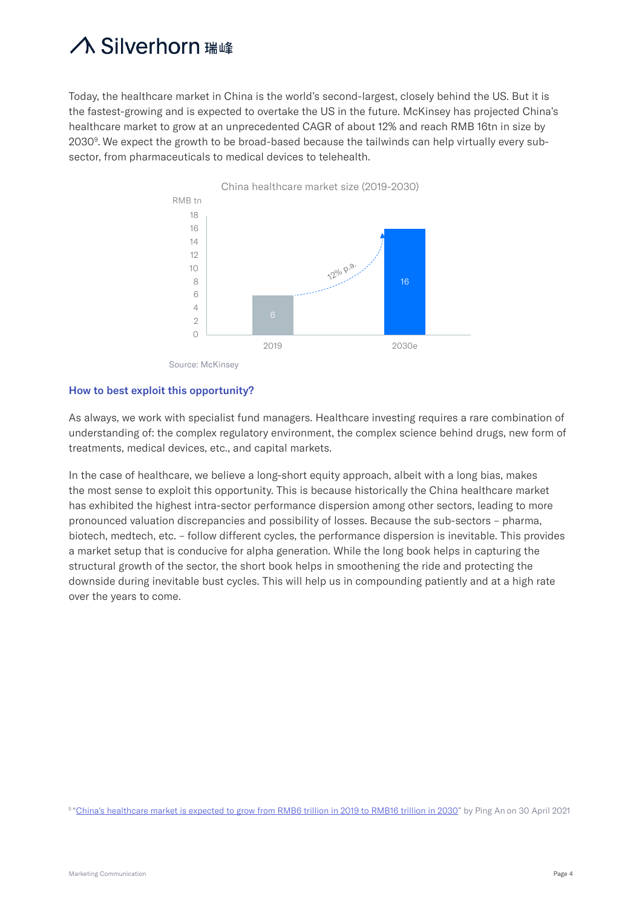Today, the healthcare market in China is the world's second-largest, closely behind the US. But it is the fastest-growing and is expected to overtake the US in the future. McKinsey has projected China's healthcare market to grow at an unprecedented CAGR of about 12% and reach RMB 16tn in size by 2030<sup>9</sup>. We expect the growth to be broad-based because the tailwinds can help virtually every subsector, from pharmaceuticals to medical devices to telehealth.



#### How to best exploit this opportunity?

As always, we work with specialist fund managers. Healthcare investing requires a rare combination of understanding of: the complex regulatory environment, the complex science behind drugs, new form of treatments, medical devices, etc., and capital markets.

In the case of healthcare, we believe a long-short equity approach, albeit with a long bias, makes the most sense to exploit this opportunity. This is because historically the China healthcare market has exhibited the highest intra-sector performance dispersion among other sectors, leading to more pronounced valuation discrepancies and possibility of losses. Because the sub-sectors – pharma, biotech, medtech, etc. – follow different cycles, the performance dispersion is inevitable. This provides a market setup that is conducive for alpha generation. While the long book helps in capturing the structural growth of the sector, the short book helps in smoothening the ride and protecting the downside during inevitable bust cycles. This will help us in compounding patiently and at a high rate over the years to come.

9 "[China's healthcare market is expected to grow from RMB6 trillion in 2019 to RMB16 trillion in 2030"](https://www.prnewswire.com/news-releases/chinas-healthcare-market-is-expected-to-grow-from-rmb6-trillion-in-2019-to-rmb16-trillion-in-2030-301281036.html) by Ping An on 30 April 2021